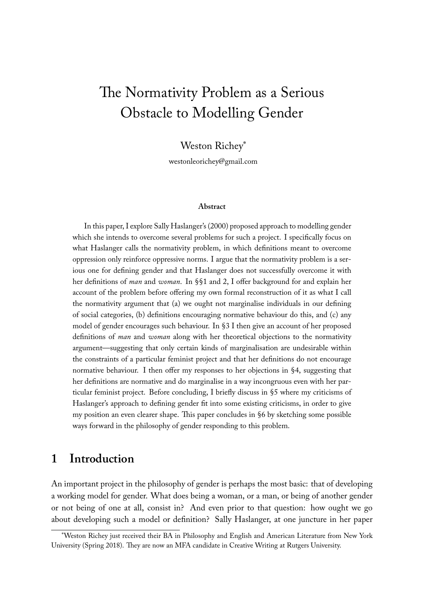# The Normativity Problem as a Serious Obstacle to Modelling Gender

Weston Richey\*

westonleorichey@gmail.com

#### **Abstract**

In this paper, I explore Sally Haslanger's (2000) proposed approach to modelling gender which she intends to overcome several problems for such a project. I specifically focus on what Haslanger calls the normativity problem, in which definitions meant to overcome oppression only reinforce oppressive norms. I argue that the normativity problem is a serious one for defining gender and that Haslanger does not successfully overcome it with her definitions of *man* and *woman*. In §§1 and 2, I offer background for and explain her account of the problem before offering my own formal reconstruction of it as what I call the normativity argument that (a) we ought not marginalise individuals in our defining of social categories, (b) definitions encouraging normative behaviour do this, and (c) any model of gender encourages such behaviour. In §3 I then give an account of her proposed definitions of *man* and *woman* along with her theoretical objections to the normativity argument—suggesting that only certain kinds of marginalisation are undesirable within the constraints of a particular feminist project and that her definitions do not encourage normative behaviour. I then offer my responses to her objections in §4, suggesting that her definitions are normative and do marginalise in a way incongruous even with her particular feminist project. Before concluding, I briefly discuss in §5 where my criticisms of Haslanger's approach to defining gender fit into some existing criticisms, in order to give my position an even clearer shape. This paper concludes in §6 by sketching some possible ways forward in the philosophy of gender responding to this problem.

### **1 Introduction**

An important project in the philosophy of gender is perhaps the most basic: that of developing a working model for gender. What does being a woman, or a man, or being of another gender or not being of one at all, consist in? And even prior to that question: how ought we go about developing such a model or definition? Sally Haslanger, at one juncture in her paper

<sup>\*</sup>Weston Richey just received their BA in Philosophy and English and American Literature from New York University (Spring 2018). They are now an MFA candidate in Creative Writing at Rutgers University.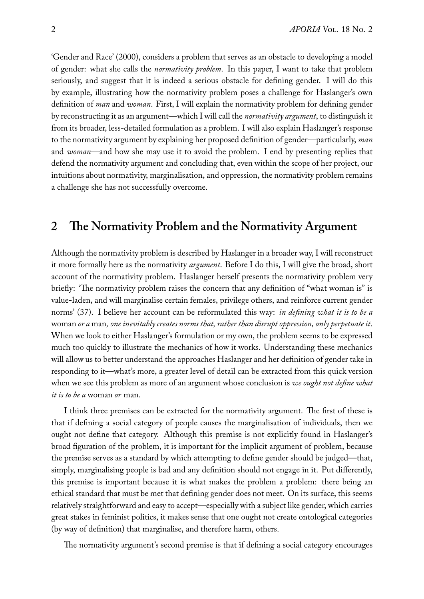'Gender and Race' (2000), considers a problem that serves as an obstacle to developing a model of gender: what she calls the *normativity problem*. In this paper, I want to take that problem seriously, and suggest that it is indeed a serious obstacle for defining gender. I will do this by example, illustrating how the normativity problem poses a challenge for Haslanger's own definition of *man* and *woman*. First, I will explain the normativity problem for defining gender by reconstructing it as an argument—which I will call the *normativity argument*, to distinguish it from its broader, less-detailed formulation as a problem. I will also explain Haslanger's response to the normativity argument by explaining her proposed definition of gender—particularly, *man* and *woman*—and how she may use it to avoid the problem. I end by presenting replies that defend the normativity argument and concluding that, even within the scope of her project, our intuitions about normativity, marginalisation, and oppression, the normativity problem remains a challenge she has not successfully overcome.

### **2 The Normativity Problem and the Normativity Argument**

Although the normativity problem is described by Haslanger in a broader way, I will reconstruct it more formally here as the normativity *argument*. Before I do this, I will give the broad, short account of the normativity problem. Haslanger herself presents the normativity problem very briefly: 'The normativity problem raises the concern that any definition of "what woman is" is value-laden, and will marginalise certain females, privilege others, and reinforce current gender norms' (37). I believe her account can be reformulated this way: *in defining what it is to be a* woman *or a* man*, one inevitably creates norms that, rather than disrupt oppression, only perpetuate it*. When we look to either Haslanger's formulation or my own, the problem seems to be expressed much too quickly to illustrate the mechanics of how it works. Understanding these mechanics will allow us to better understand the approaches Haslanger and her definition of gender take in responding to it—what's more, a greater level of detail can be extracted from this quick version when we see this problem as more of an argument whose conclusion is *we ought not define what it is to be a* woman *or* man.

I think three premises can be extracted for the normativity argument. The first of these is that if defining a social category of people causes the marginalisation of individuals, then we ought not define that category. Although this premise is not explicitly found in Haslanger's broad figuration of the problem, it is important for the implicit argument of problem, because the premise serves as a standard by which attempting to define gender should be judged—that, simply, marginalising people is bad and any definition should not engage in it. Put differently, this premise is important because it is what makes the problem a problem: there being an ethical standard that must be met that defining gender does not meet. On its surface, this seems relatively straightforward and easy to accept—especially with a subject like gender, which carries great stakes in feminist politics, it makes sense that one ought not create ontological categories (by way of definition) that marginalise, and therefore harm, others.

The normativity argument's second premise is that if defining a social category encourages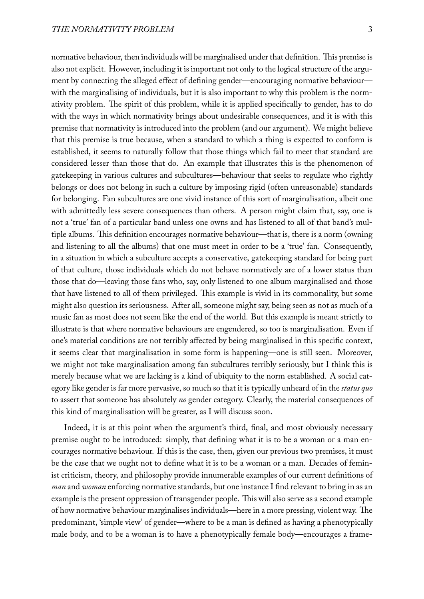normative behaviour, then individuals will be marginalised under that definition. This premise is also not explicit. However, including it is important not only to the logical structure of the argument by connecting the alleged effect of defining gender—encouraging normative behaviour with the marginalising of individuals, but it is also important to why this problem is the normativity problem. The spirit of this problem, while it is applied specifically to gender, has to do with the ways in which normativity brings about undesirable consequences, and it is with this premise that normativity is introduced into the problem (and our argument). We might believe that this premise is true because, when a standard to which a thing is expected to conform is established, it seems to naturally follow that those things which fail to meet that standard are considered lesser than those that do. An example that illustrates this is the phenomenon of gatekeeping in various cultures and subcultures—behaviour that seeks to regulate who rightly belongs or does not belong in such a culture by imposing rigid (often unreasonable) standards for belonging. Fan subcultures are one vivid instance of this sort of marginalisation, albeit one with admittedly less severe consequences than others. A person might claim that, say, one is not a 'true' fan of a particular band unless one owns and has listened to all of that band's multiple albums. This definition encourages normative behaviour—that is, there is a norm (owning and listening to all the albums) that one must meet in order to be a 'true' fan. Consequently, in a situation in which a subculture accepts a conservative, gatekeeping standard for being part of that culture, those individuals which do not behave normatively are of a lower status than those that do—leaving those fans who, say, only listened to one album marginalised and those that have listened to all of them privileged. This example is vivid in its commonality, but some might also question its seriousness. After all, someone might say, being seen as not as much of a music fan as most does not seem like the end of the world. But this example is meant strictly to illustrate is that where normative behaviours are engendered, so too is marginalisation. Even if one's material conditions are not terribly affected by being marginalised in this specific context, it seems clear that marginalisation in some form is happening—one is still seen. Moreover, we might not take marginalisation among fan subcultures terribly seriously, but I think this is merely because what we are lacking is a kind of ubiquity to the norm established. A social category like gender is far more pervasive, so much so that it is typically unheard of in the *status quo* to assert that someone has absolutely *no* gender category. Clearly, the material consequences of this kind of marginalisation will be greater, as I will discuss soon.

Indeed, it is at this point when the argument's third, final, and most obviously necessary premise ought to be introduced: simply, that defining what it is to be a woman or a man encourages normative behaviour. If this is the case, then, given our previous two premises, it must be the case that we ought not to define what it is to be a woman or a man. Decades of feminist criticism, theory, and philosophy provide innumerable examples of our current definitions of *man* and *woman* enforcing normative standards, but one instance I find relevant to bring in as an example is the present oppression of transgender people. This will also serve as a second example of how normative behaviour marginalises individuals—here in a more pressing, violent way. The predominant, 'simple view' of gender—where to be a man is defined as having a phenotypically male body, and to be a woman is to have a phenotypically female body—encourages a frame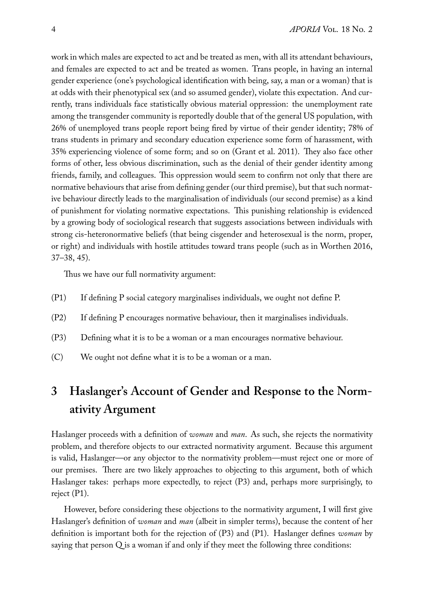work in which males are expected to act and be treated as men, with all its attendant behaviours, and females are expected to act and be treated as women. Trans people, in having an internal gender experience (one's psychological identification with being, say, a man or a woman) that is at odds with their phenotypical sex (and so assumed gender), violate this expectation. And currently, trans individuals face statistically obvious material oppression: the unemployment rate among the transgender community is reportedly double that of the general US population, with 26% of unemployed trans people report being fired by virtue of their gender identity; 78% of trans students in primary and secondary education experience some form of harassment, with 35% experiencing violence of some form; and so on (Grant et al. 2011). They also face other forms of other, less obvious discrimination, such as the denial of their gender identity among friends, family, and colleagues. This oppression would seem to confirm not only that there are normative behaviours that arise from defining gender (our third premise), but that such normative behaviour directly leads to the marginalisation of individuals (our second premise) as a kind of punishment for violating normative expectations. This punishing relationship is evidenced by a growing body of sociological research that suggests associations between individuals with strong cis-heteronormative beliefs (that being cisgender and heterosexual is the norm, proper, or right) and individuals with hostile attitudes toward trans people (such as in Worthen 2016, 37–38, 45).

Thus we have our full normativity argument:

- (P1) If defining P social category marginalises individuals, we ought not define P.
- (P2) If defining P encourages normative behaviour, then it marginalises individuals.
- (P3) Defining what it is to be a woman or a man encourages normative behaviour.
- (C) We ought not define what it is to be a woman or a man.

## **3 Haslanger's Account of Gender and Response to the Normativity Argument**

Haslanger proceeds with a definition of *woman* and *man*. As such, she rejects the normativity problem, and therefore objects to our extracted normativity argument. Because this argument is valid, Haslanger—or any objector to the normativity problem—must reject one or more of our premises. There are two likely approaches to objecting to this argument, both of which Haslanger takes: perhaps more expectedly, to reject (P3) and, perhaps more surprisingly, to reject (P1).

However, before considering these objections to the normativity argument, I will first give Haslanger's definition of *woman* and *man* (albeit in simpler terms), because the content of her definition is important both for the rejection of (P3) and (P1). Haslanger defines *woman* by saying that person Q is a woman if and only if they meet the following three conditions: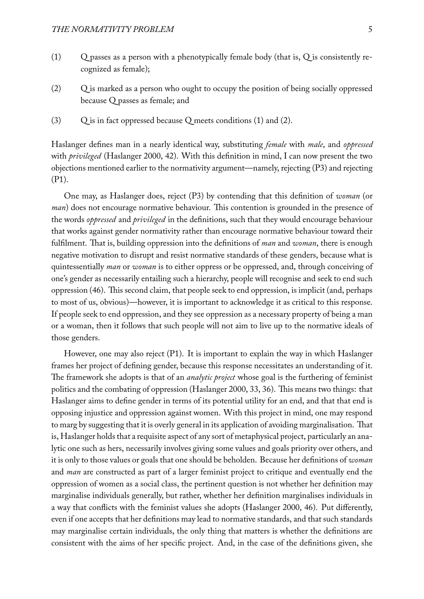- (1) Q passes as a person with a phenotypically female body (that is, Q is consistently recognized as female);
- (2) Q is marked as a person who ought to occupy the position of being socially oppressed because Q passes as female; and
- (3)  $Q$  is in fact oppressed because Q meets conditions (1) and (2).

Haslanger defines man in a nearly identical way, substituting *female* with *male*, and *oppressed* with *privileged* (Haslanger 2000, 42). With this definition in mind, I can now present the two objections mentioned earlier to the normativity argument—namely, rejecting (P3) and rejecting (P1).

One may, as Haslanger does, reject (P3) by contending that this definition of *woman* (or *man*) does not encourage normative behaviour. This contention is grounded in the presence of the words *oppressed* and *privileged* in the definitions, such that they would encourage behaviour that works against gender normativity rather than encourage normative behaviour toward their fulfilment. That is, building oppression into the definitions of *man* and *woman*, there is enough negative motivation to disrupt and resist normative standards of these genders, because what is quintessentially *man* or *woman* is to either oppress or be oppressed, and, through conceiving of one's gender as necessarily entailing such a hierarchy, people will recognise and seek to end such oppression (46). This second claim, that people seek to end oppression, is implicit (and, perhaps to most of us, obvious)—however, it is important to acknowledge it as critical to this response. If people seek to end oppression, and they see oppression as a necessary property of being a man or a woman, then it follows that such people will not aim to live up to the normative ideals of those genders.

However, one may also reject (P1). It is important to explain the way in which Haslanger frames her project of defining gender, because this response necessitates an understanding of it. The framework she adopts is that of an *analytic project* whose goal is the furthering of feminist politics and the combating of oppression (Haslanger 2000, 33, 36). This means two things: that Haslanger aims to define gender in terms of its potential utility for an end, and that that end is opposing injustice and oppression against women. With this project in mind, one may respond to marg by suggesting that it is overly general in its application of avoiding marginalisation. That is, Haslanger holds that a requisite aspect of any sort of metaphysical project, particularly an analytic one such as hers, necessarily involves giving some values and goals priority over others, and it is only to those values or goals that one should be beholden. Because her definitions of *woman* and *man* are constructed as part of a larger feminist project to critique and eventually end the oppression of women as a social class, the pertinent question is not whether her definition may marginalise individuals generally, but rather, whether her definition marginalises individuals in a way that conflicts with the feminist values she adopts (Haslanger 2000, 46). Put differently, even if one accepts that her definitions may lead to normative standards, and that such standards may marginalise certain individuals, the only thing that matters is whether the definitions are consistent with the aims of her specific project. And, in the case of the definitions given, she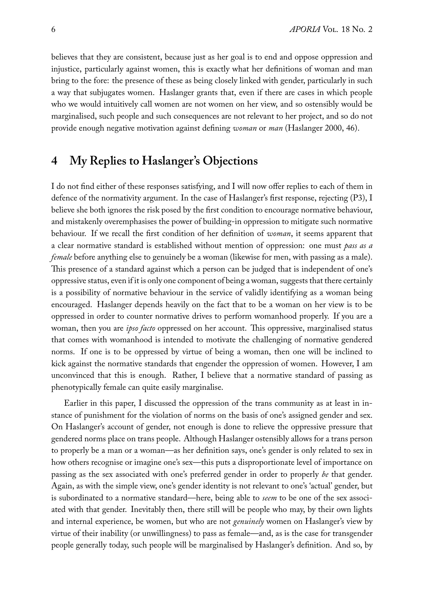believes that they are consistent, because just as her goal is to end and oppose oppression and injustice, particularly against women, this is exactly what her definitions of woman and man bring to the fore: the presence of these as being closely linked with gender, particularly in such a way that subjugates women. Haslanger grants that, even if there are cases in which people who we would intuitively call women are not women on her view, and so ostensibly would be marginalised, such people and such consequences are not relevant to her project, and so do not provide enough negative motivation against defining *woman* or *man* (Haslanger 2000, 46).

### **4 My Replies to Haslanger's Objections**

I do not find either of these responses satisfying, and I will now offer replies to each of them in defence of the normativity argument. In the case of Haslanger's first response, rejecting (P3), I believe she both ignores the risk posed by the first condition to encourage normative behaviour, and mistakenly overemphasises the power of building-in oppression to mitigate such normative behaviour. If we recall the first condition of her definition of *woman*, it seems apparent that a clear normative standard is established without mention of oppression: one must *pass as a female* before anything else to genuinely be a woman (likewise for men, with passing as a male). This presence of a standard against which a person can be judged that is independent of one's oppressive status, even if it is only one component of being a woman, suggests that there certainly is a possibility of normative behaviour in the service of validly identifying as a woman being encouraged. Haslanger depends heavily on the fact that to be a woman on her view is to be oppressed in order to counter normative drives to perform womanhood properly. If you are a woman, then you are *ipso facto* oppressed on her account. This oppressive, marginalised status that comes with womanhood is intended to motivate the challenging of normative gendered norms. If one is to be oppressed by virtue of being a woman, then one will be inclined to kick against the normative standards that engender the oppression of women. However, I am unconvinced that this is enough. Rather, I believe that a normative standard of passing as phenotypically female can quite easily marginalise.

Earlier in this paper, I discussed the oppression of the trans community as at least in instance of punishment for the violation of norms on the basis of one's assigned gender and sex. On Haslanger's account of gender, not enough is done to relieve the oppressive pressure that gendered norms place on trans people. Although Haslanger ostensibly allows for a trans person to properly be a man or a woman—as her definition says, one's gender is only related to sex in how others recognise or imagine one's sex—this puts a disproportionate level of importance on passing as the sex associated with one's preferred gender in order to properly *be* that gender. Again, as with the simple view, one's gender identity is not relevant to one's 'actual' gender, but is subordinated to a normative standard—here, being able to *seem* to be one of the sex associated with that gender. Inevitably then, there still will be people who may, by their own lights and internal experience, be women, but who are not *genuinely* women on Haslanger's view by virtue of their inability (or unwillingness) to pass as female—and, as is the case for transgender people generally today, such people will be marginalised by Haslanger's definition. And so, by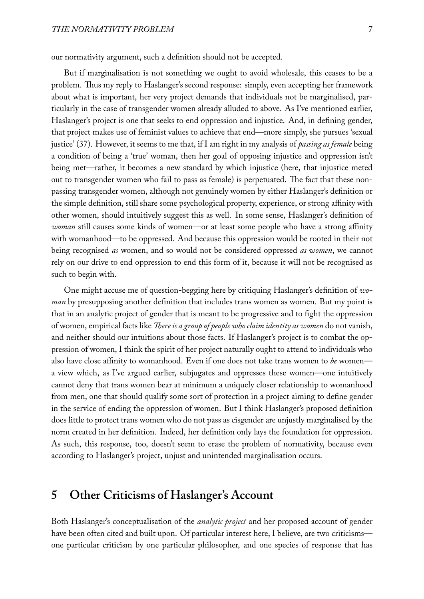our normativity argument, such a definition should not be accepted.

But if marginalisation is not something we ought to avoid wholesale, this ceases to be a problem. Thus my reply to Haslanger's second response: simply, even accepting her framework about what is important, her very project demands that individuals not be marginalised, particularly in the case of transgender women already alluded to above. As I've mentioned earlier, Haslanger's project is one that seeks to end oppression and injustice. And, in defining gender, that project makes use of feminist values to achieve that end—more simply, she pursues 'sexual justice' (37). However, it seems to me that, if I am right in my analysis of *passing as female* being a condition of being a 'true' woman, then her goal of opposing injustice and oppression isn't being met—rather, it becomes a new standard by which injustice (here, that injustice meted out to transgender women who fail to pass as female) is perpetuated. The fact that these nonpassing transgender women, although not genuinely women by either Haslanger's definition or the simple definition, still share some psychological property, experience, or strong affinity with other women, should intuitively suggest this as well. In some sense, Haslanger's definition of *woman* still causes some kinds of women—or at least some people who have a strong affinity with womanhood—to be oppressed. And because this oppression would be rooted in their not being recognised *as* women, and so would not be considered oppressed *as women*, we cannot rely on our drive to end oppression to end this form of it, because it will not be recognised as such to begin with.

One might accuse me of question-begging here by critiquing Haslanger's definition of *woman* by presupposing another definition that includes trans women as women. But my point is that in an analytic project of gender that is meant to be progressive and to fight the oppression of women, empirical facts like *There is a group of people who claim identity as women* do not vanish, and neither should our intuitions about those facts. If Haslanger's project is to combat the oppression of women, I think the spirit of her project naturally ought to attend to individuals who also have close affinity to womanhood. Even if one does not take trans women to *be* women a view which, as I've argued earlier, subjugates and oppresses these women—one intuitively cannot deny that trans women bear at minimum a uniquely closer relationship to womanhood from men, one that should qualify some sort of protection in a project aiming to define gender in the service of ending the oppression of women. But I think Haslanger's proposed definition does little to protect trans women who do not pass as cisgender are unjustly marginalised by the norm created in her definition. Indeed, her definition only lays the foundation for oppression. As such, this response, too, doesn't seem to erase the problem of normativity, because even according to Haslanger's project, unjust and unintended marginalisation occurs.

### **5 Other Criticisms of Haslanger's Account**

Both Haslanger's conceptualisation of the *analytic project* and her proposed account of gender have been often cited and built upon. Of particular interest here, I believe, are two criticisms one particular criticism by one particular philosopher, and one species of response that has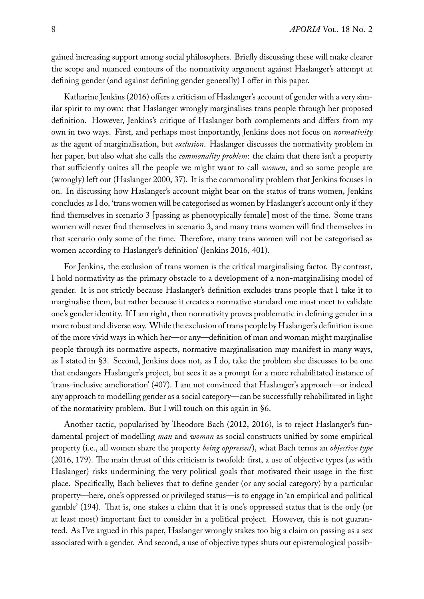gained increasing support among social philosophers. Briefly discussing these will make clearer the scope and nuanced contours of the normativity argument against Haslanger's attempt at defining gender (and against defining gender generally) I offer in this paper.

Katharine Jenkins (2016) offers a criticism of Haslanger's account of gender with a very similar spirit to my own: that Haslanger wrongly marginalises trans people through her proposed definition. However, Jenkins's critique of Haslanger both complements and differs from my own in two ways. First, and perhaps most importantly, Jenkins does not focus on *normativity* as the agent of marginalisation, but *exclusion*. Haslanger discusses the normativity problem in her paper, but also what she calls the *commonality problem*: the claim that there isn't a property that sufficiently unites all the people we might want to call *women*, and so some people are (wrongly) left out (Haslanger 2000, 37). It is the commonality problem that Jenkins focuses in on. In discussing how Haslanger's account might bear on the status of trans women, Jenkins concludes as I do, 'trans women will be categorised as women by Haslanger's account only if they find themselves in scenario 3 [passing as phenotypically female] most of the time. Some trans women will never find themselves in scenario 3, and many trans women will find themselves in that scenario only some of the time. Therefore, many trans women will not be categorised as women according to Haslanger's definition' (Jenkins 2016, 401).

For Jenkins, the exclusion of trans women is the critical marginalising factor. By contrast, I hold normativity as the primary obstacle to a development of a non-marginalising model of gender. It is not strictly because Haslanger's definition excludes trans people that I take it to marginalise them, but rather because it creates a normative standard one must meet to validate one's gender identity. If I am right, then normativity proves problematic in defining gender in a more robust and diverse way. While the exclusion of trans people by Haslanger's definition is one of the more vivid ways in which her—or any—definition of man and woman might marginalise people through its normative aspects, normative marginalisation may manifest in many ways, as I stated in §3. Second, Jenkins does not, as I do, take the problem she discusses to be one that endangers Haslanger's project, but sees it as a prompt for a more rehabilitated instance of 'trans-inclusive amelioration' (407). I am not convinced that Haslanger's approach—or indeed any approach to modelling gender as a social category—can be successfully rehabilitated in light of the normativity problem. But I will touch on this again in §6.

Another tactic, popularised by Theodore Bach (2012, 2016), is to reject Haslanger's fundamental project of modelling *man* and *woman* as social constructs unified by some empirical property (i.e., all women share the property *being oppressed*), what Bach terms an *objective type* (2016, 179). The main thrust of this criticism is twofold: first, a use of objective types (as with Haslanger) risks undermining the very political goals that motivated their usage in the first place. Specifically, Bach believes that to define gender (or any social category) by a particular property—here, one's oppressed or privileged status—is to engage in 'an empirical and political gamble' (194). That is, one stakes a claim that it is one's oppressed status that is the only (or at least most) important fact to consider in a political project. However, this is not guaranteed. As I've argued in this paper, Haslanger wrongly stakes too big a claim on passing as a sex associated with a gender. And second, a use of objective types shuts out epistemological possib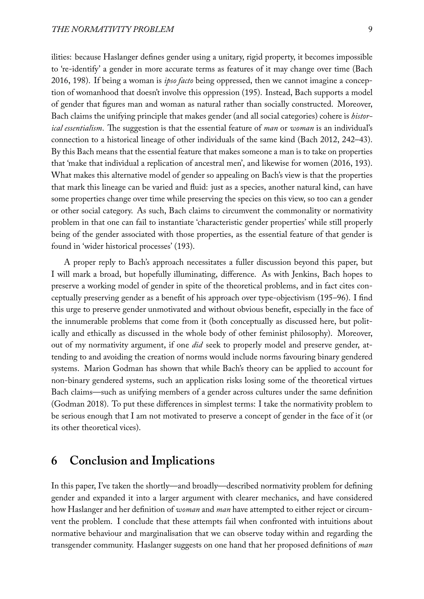ilities: because Haslanger defines gender using a unitary, rigid property, it becomes impossible to 're-identify' a gender in more accurate terms as features of it may change over time (Bach 2016, 198). If being a woman is *ipso facto* being oppressed, then we cannot imagine a conception of womanhood that doesn't involve this oppression (195). Instead, Bach supports a model of gender that figures man and woman as natural rather than socially constructed. Moreover, Bach claims the unifying principle that makes gender (and all social categories) cohere is *historical essentialism*. The suggestion is that the essential feature of *man* or *woman* is an individual's connection to a historical lineage of other individuals of the same kind (Bach 2012, 242–43). By this Bach means that the essential feature that makes someone a man is to take on properties that 'make that individual a replication of ancestral men', and likewise for women (2016, 193). What makes this alternative model of gender so appealing on Bach's view is that the properties that mark this lineage can be varied and fluid: just as a species, another natural kind, can have some properties change over time while preserving the species on this view, so too can a gender or other social category. As such, Bach claims to circumvent the commonality or normativity problem in that one can fail to instantiate 'characteristic gender properties' while still properly being of the gender associated with those properties, as the essential feature of that gender is found in 'wider historical processes' (193).

A proper reply to Bach's approach necessitates a fuller discussion beyond this paper, but I will mark a broad, but hopefully illuminating, difference. As with Jenkins, Bach hopes to preserve a working model of gender in spite of the theoretical problems, and in fact cites conceptually preserving gender as a benefit of his approach over type-objectivism (195–96). I find this urge to preserve gender unmotivated and without obvious benefit, especially in the face of the innumerable problems that come from it (both conceptually as discussed here, but politically and ethically as discussed in the whole body of other feminist philosophy). Moreover, out of my normativity argument, if one *did* seek to properly model and preserve gender, attending to and avoiding the creation of norms would include norms favouring binary gendered systems. Marion Godman has shown that while Bach's theory can be applied to account for non-binary gendered systems, such an application risks losing some of the theoretical virtues Bach claims—such as unifying members of a gender across cultures under the same definition (Godman 2018). To put these differences in simplest terms: I take the normativity problem to be serious enough that I am not motivated to preserve a concept of gender in the face of it (or its other theoretical vices).

### **6 Conclusion and Implications**

In this paper, I've taken the shortly—and broadly—described normativity problem for defining gender and expanded it into a larger argument with clearer mechanics, and have considered how Haslanger and her definition of *woman* and *man* have attempted to either reject or circumvent the problem. I conclude that these attempts fail when confronted with intuitions about normative behaviour and marginalisation that we can observe today within and regarding the transgender community. Haslanger suggests on one hand that her proposed definitions of *man*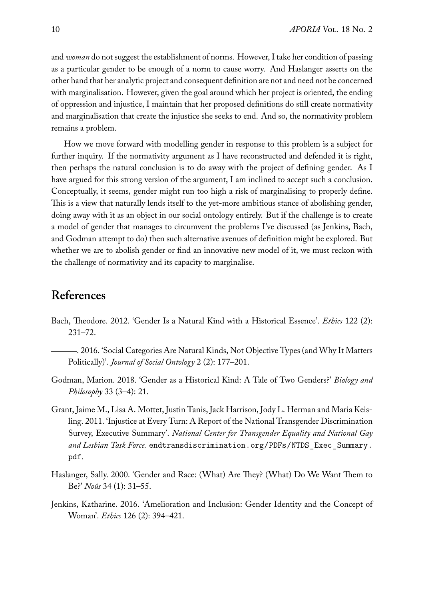and *woman* do not suggest the establishment of norms. However, I take her condition of passing as a particular gender to be enough of a norm to cause worry. And Haslanger asserts on the other hand that her analytic project and consequent definition are not and need not be concerned with marginalisation. However, given the goal around which her project is oriented, the ending of oppression and injustice, I maintain that her proposed definitions do still create normativity and marginalisation that create the injustice she seeks to end. And so, the normativity problem remains a problem.

How we move forward with modelling gender in response to this problem is a subject for further inquiry. If the normativity argument as I have reconstructed and defended it is right, then perhaps the natural conclusion is to do away with the project of defining gender. As I have argued for this strong version of the argument, I am inclined to accept such a conclusion. Conceptually, it seems, gender might run too high a risk of marginalising to properly define. This is a view that naturally lends itself to the yet-more ambitious stance of abolishing gender, doing away with it as an object in our social ontology entirely. But if the challenge is to create a model of gender that manages to circumvent the problems I've discussed (as Jenkins, Bach, and Godman attempt to do) then such alternative avenues of definition might be explored. But whether we are to abolish gender or find an innovative new model of it, we must reckon with the challenge of normativity and its capacity to marginalise.

### **References**

- Bach, Theodore. 2012. 'Gender Is a Natural Kind with a Historical Essence'. *Ethics* 122 (2): 231–72.
- . 2016. 'Social Categories Are Natural Kinds, Not Objective Types (and Why It Matters Politically)'. *Journal of Social Ontology* 2 (2): 177–201.
- Godman, Marion. 2018. 'Gender as a Historical Kind: A Tale of Two Genders?' *Biology and Philosophy* 33 (3–4): 21.
- Grant, Jaime M., Lisa A. Mottet, Justin Tanis, Jack Harrison, Jody L. Herman and Maria Keisling. 2011. 'Injustice at Every Turn: A Report of the National Transgender Discrimination Survey, Executive Summary'. *National Center for Transgender Equality and National Gay and Lesbian Task Force.* endtransdiscrimination.org/PDFs/NTDS\_Exec\_Summary. pdf.
- Haslanger, Sally. 2000. 'Gender and Race: (What) Are They? (What) Do We Want Them to Be?' *Noûs* 34 (1): 31–55.
- Jenkins, Katharine. 2016. 'Amelioration and Inclusion: Gender Identity and the Concept of Woman'. *Ethics* 126 (2): 394–421.